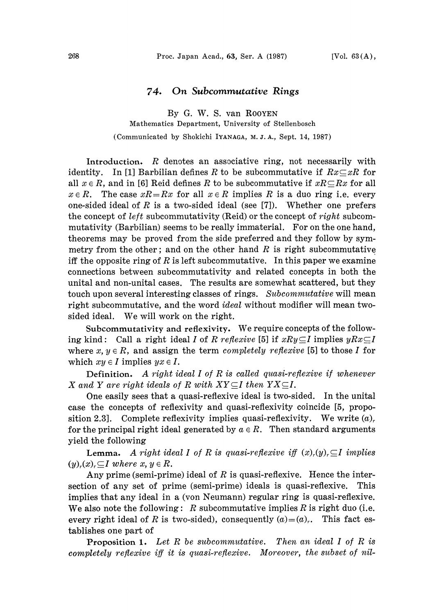## 74. On Subcommutative Rings

By G. W. S. van ROOYEN Mathematics Department., University of Stellenbosch

(Communicated by Shokichi IYANAGA, M. J.A., Sept. 14, 1987)

Introduction. R denotes an associative ring, not necessarily with identity. In [1] Barbilian defines R to be subcommutative if  $Rx \subset xR$  for all  $x \in R$ , and in [6] Reid defines R to be subcommutative if  $xR \subseteq Rx$  for all  $x \in R$ . The case  $xR=Rx$  for all  $x \in R$  implies R is a duo ring i.e. every one-sided ideal of R is a two-sided ideal (see [7]). Whether one prefers the concept of *left* subcommutativity (Reid) or the concept of *right* subcommutativity (Barbilian) seems to be really immaterial. For on the one hand, theorems may be proved from the side preferred and they follow by symmetry from the other; and on the other hand  $R$  is right subcommutative iff the opposite ring of R is left subcommutative. In this paper we examine connections between subcommutativity and related concepts in both the unital and non-unital cases. The results are somewhat scattered, but they touch upon several interesting classes of rings. Subcommutative will mean right subcommutative, and the word ideal without modifier will mean twosided ideal. We will work on the right.

Subcommutativity and reflexivity. We require concepts of the following kind: Call a right ideal I of R reflexive [5] if  $xRy \subseteq I$  implies  $yRx \subseteq I$ where x,  $y \in R$ , and assign the term completely reflexive [5] to those I for which  $xy \in I$  implies  $yx \in I$ .

**Definition.** A right ideal  $I$  of  $R$  is called quasi-reflexive if whenever X and Y are right ideals of R with  $XY \subseteq I$  then  $YX \subseteq I$ .

One easily sees that a quasi-reflexive ideal is two-sided. In the unital case the concepts of reflexivity and quasi-reflexivity coincide [5, proposition 2.3]. Complete reflexivity implies quasi-reflexivity. We write  $(a)_r$ for the principal right ideal generated by  $a \in R$ . Then standard arguments yield the following

**Lemma.** A right ideal I of R is quasi-reflexive iff  $(x)$ ,  $(y)$ ,  $\subseteq I$  implies  $(y)_r(x)_r \subseteq I$  where  $x, y \in R$ .

Any prime (semi-prime) ideal of  $R$  is quasi-reflexive. Hence the intersection of any set of prime (semi-prime) ideals is quasi-reflexive. This implies that any ideal in a (von Neumann) regular ring is quasi-reflexive. We also note the following: R subcommutative implies R is right duo (i.e. every right ideal of R is two-sided), consequently  $(a)=(a)<sub>r</sub>$ . This fact establishes one part of

**Proposition 1.** Let R be subcommutative. Then an ideal I of R is completely reflexive iff it is quasi-reflexive. Moreover, the subset of nil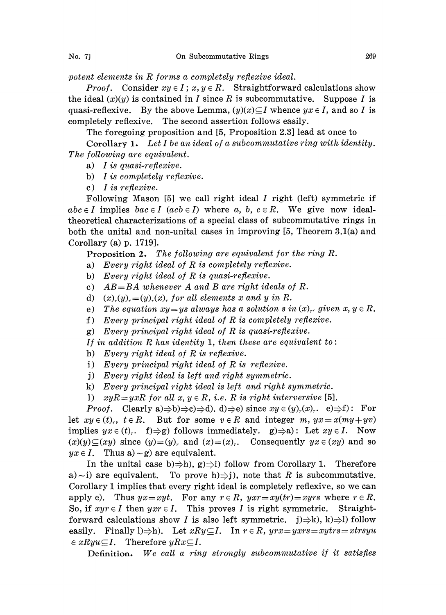potent elements in R forms <sup>a</sup> completely reflexive ideal.

*Proof.* Consider  $xy \in I$ ;  $x, y \in R$ . Straightforward calculations show the ideal  $(x)(y)$  is contained in I since R is subcommutative. Suppose I is quasi-reflexive. By the above Lemma,  $(y)(x) \subseteq I$  whence  $yx \in I$ , and so I is completely reflexive. The second assertion follows easily.

The foregoing proposition and  $[5,$  Proposition 2.3] lead at once to

Corollary 1. Let I be an ideal of a subcommutative ring with identity. The following are equivalent.

- a) I is quasi-reflexive.
- b) I is completely reflexive.
- c) I is reflexive.

Following Mason [5] we call right ideal <sup>I</sup> right (left) symmetric if  $abc \in I$  implies  $bac \in I$  ( $acb \in I$ ) where a, b,  $c \in R$ . We give now idealtheoretical characterizations of a special class of subcommutative rings in both the unital and non-unital cases in improving  $[5,$  Theorem 3.1(a) and Corollary (a) p. 1719].

Proposition 2. The following are equivalent for the ring R.

a) Every right ideal of R is completely reflexive.

- b) Every right ideal of R is quasi-reflexive.
- c)  $AB = BA$  whenever A and B are right ideals of R.
- d)  $(x)_r(y)_r = (y)_r(x)_r$  for all elements x and y in R.
- e) The equation  $xy = ys$  always has a solution s in  $(x)_r$ , given  $x, y \in R$ .
- ) Every principal right ideal of R is completely reflexive.
- g) Every principal right ideal of R is quasi-reflexive.

If in addition R has identity 1, then these are equivalent to:

- h) Every right ideal of R is reflexive.
- i) Every principal right ideal of R is reflexive.
- j) Every right ideal is left and right symmetric.
- k) Every principal right ideal is left and right symmetric.

l)  $xyR=yxR$  for all  $x, y \in R$ , i.e. R is right interversive [5].

*Proof.* Clearly a) $\Rightarrow$ b) $\Rightarrow$ c) $\Rightarrow$ d), d) $\Rightarrow$ e) since  $xy \in (y),(x),$  e) $\Rightarrow$ f): For let  $xy \in (t)$ ,  $t \in R$ . But for some  $v \in R$  and integer m,  $yx = x(my + yv)$ implies  $yx \in (t)_r$ .  $f \Rightarrow g$  follows immediately.  $g \Rightarrow a$ ): Let  $xy \in I$ . Now  $(x)(y) \subseteq (xy)$  since  $(y) = (y)_r$  and  $(x) = (x)_r$ . Consequently  $yx \in (xy)$  and so  $yx \in I$ . Thus a)  $\sim g$ ) are equivalent.

In the unital case b) $\Rightarrow$ h), g) $\Rightarrow$ i) follow from Corollary 1. Therefore a) $\sim$ i) are equivalent. To prove h) $\Rightarrow$ j), note that R is subcommutative. Corollary <sup>1</sup> implies that every right ideal is completely reflexive, so we can apply e). Thus  $yx=xyt$ . For any  $r \in R$ ,  $yxr=xy(tr)=xyrs$  where  $r \in R$ . So, if  $xyr \in I$  then  $yxr \in I$ . This proves I is right symmetric. Straightforward calculations show I is also left symmetric,  $j \Rightarrow k$ ,  $k \Rightarrow l$ ) follow easily. Finally 1) $\Rightarrow$ h). Let  $xRy\subseteq I$ . In  $r \in R$ ,  $yrx=yxrs=xytrs=xtrsyu$  $\in xRyu \subseteq I$ . Therefore  $yRx \subseteq I$ .

Definition. We call <sup>a</sup> ring strongly subcommutative if it satisfies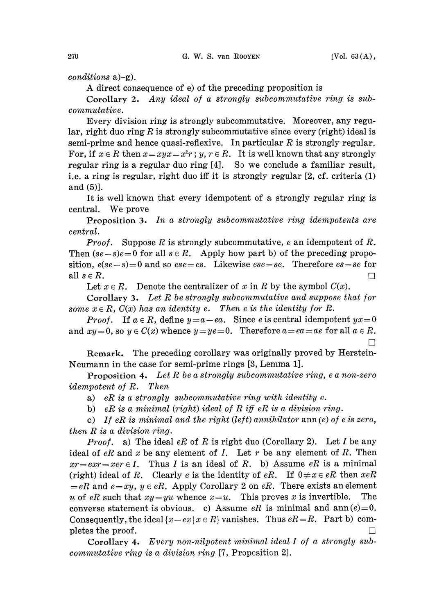conditions a)-g).

A direct consequence of e) of the preceding proposition is

Corollary 2. Any ideal of a strongly subcommutative ring is subcommutative.

Every division ring is strongly subcommutative. Moreover, any regular, right duo ring  $R$  is strongly subcommutative since every (right) ideal is semi-prime and hence quasi-reflexive. In particular  $R$  is strongly regular. For, if  $x \in R$  then  $x = xyx = x^2r$ ;  $y, r \in R$ . It is well known that any strongly regular ring is a regular duo ring  $[4]$ . So we conclude a familiar result, i.e. a ring is regular, right duo iff it is strongly regular [2, cf. criteria (1) and (5)].

It is well known that every idempotent of a strongly regular ring is central. We prove

Proposition 3. In a strongly subcommutative ring idempotents are central.

**Proof.** Suppose R is strongly subcommutative, e an idempotent of R. Then  $(se-s)e=0$  for all  $s \in R$ . Apply how part b) of the preceding proposition,  $e(se-s)=0$  and so  $ese=es$ . Likewise  $ese=se$ . Therefore  $es=se$  for all  $s \in R$ .  $\Box$ 

Let  $x \in R$ . Denote the centralizer of x in R by the symbol  $C(x)$ .

Corollary ). Let R be strongly subcommutative and suppose that for some  $x \in R$ ,  $C(x)$  has an identity e. Then e is the identity for R.

**Proof.** If  $a \in R$ , define  $y=a-ea$ . Since e is central idempotent  $yx=0$ and  $xy=0$ , so  $y \in C(x)$  whence  $y=ye=0$ . Therefore  $a=ea=ae$  for all  $a \in R$ .

Remark. The preceding corollary was originally proved by Herstein-Neumann in the case for semi-prime rings [3, Lemma 1].

**Proposition 4.** Let R be a strongly subcommutative ring, e a non-zero idempotent of R. Then

a)  $eR$  is a strongly subcommutative ring with identity  $e$ .

b)  $eR$  is a minimal (right) ideal of R iff  $eR$  is a division ring.

c) If eR is minimal and the right (left) annihilator ann  $(e)$  of e is zero, then R is <sup>a</sup> division ring.

**Proof.** a) The ideal  $eR$  of R is right duo (Corollary 2). Let I be any ideal of eR and x be any element of I. Let r be any element of R. Then  $xr=exr=zer \in I$ . Thus I is an ideal of R. b) Assume  $eR$  is a minimal (right) ideal of R. Clearly e is the identity of eR. If  $0 \neq x \in eR$  then  $xeR$  $=eR$  and  $e=xy$ ,  $y \in eR$ . Apply Corollary 2 on  $eR$ . There exists an element u of eR such that  $xy=yu$  whence  $x=u$ . This proves x is invertible. The converse statement is obvious, c) Assume eR is minimal and ann  $(e)=0$ . Consequently, the ideal  $\{x-ex|x \in R\}$  vanishes. Thus  $eR=R$ . Part b) completes the proof.  $\Box$ 

Corollary 4. Every non-nilpotent minimal ideal <sup>I</sup> of a strongly subcommutative ring is a division ring [7, Proposition 2].